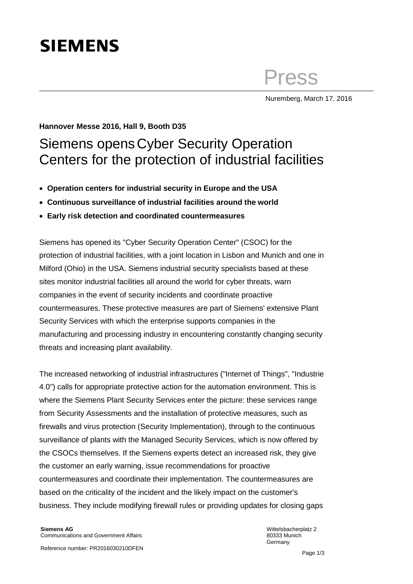# **SIEMENS**

Press

Nuremberg, March 17, 2016

## **Hannover Messe 2016, Hall 9, Booth D35**

## Siemens opensCyber Security Operation Centers for the protection of industrial facilities

- **Operation centers for industrial security in Europe and the USA**
- **Continuous surveillance of industrial facilities around the world**
- **Early risk detection and coordinated countermeasures**

Siemens has opened its "Cyber Security Operation Center" (CSOC) for the protection of industrial facilities, with a joint location in Lisbon and Munich and one in Milford (Ohio) in the USA. Siemens industrial security specialists based at these sites monitor industrial facilities all around the world for cyber threats, warn companies in the event of security incidents and coordinate proactive countermeasures. These protective measures are part of Siemens' extensive Plant Security Services with which the enterprise supports companies in the manufacturing and processing industry in encountering constantly changing security threats and increasing plant availability.

The increased networking of industrial infrastructures ("Internet of Things", "Industrie 4.0") calls for appropriate protective action for the automation environment. This is where the Siemens Plant Security Services enter the picture: these services range from Security Assessments and the installation of protective measures, such as firewalls and virus protection (Security Implementation), through to the continuous surveillance of plants with the Managed Security Services, which is now offered by the CSOCs themselves. If the Siemens experts detect an increased risk, they give the customer an early warning, issue recommendations for proactive countermeasures and coordinate their implementation. The countermeasures are based on the criticality of the incident and the likely impact on the customer's business. They include modifying firewall rules or providing updates for closing gaps

Wittelsbacherplatz 2 80333 Munich Germany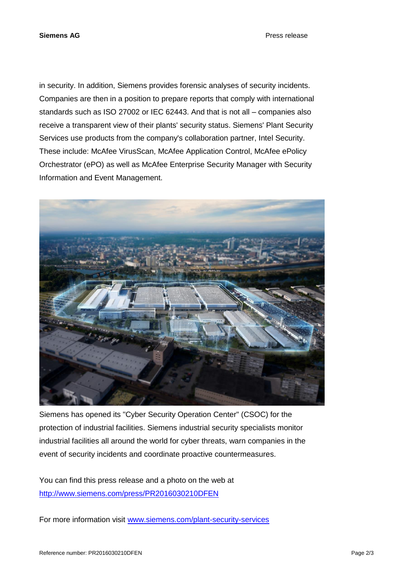**Siemens AG** Press release

in security. In addition, Siemens provides forensic analyses of security incidents. Companies are then in a position to prepare reports that comply with international standards such as ISO 27002 or IEC 62443. And that is not all – companies also receive a transparent view of their plants' security status. Siemens' Plant Security Services use products from the company's collaboration partner, Intel Security. These include: McAfee VirusScan, McAfee Application Control, McAfee ePolicy Orchestrator (ePO) as well as McAfee Enterprise Security Manager with Security Information and Event Management.



Siemens has opened its "Cyber Security Operation Center" (CSOC) for the protection of industrial facilities. Siemens industrial security specialists monitor industrial facilities all around the world for cyber threats, warn companies in the event of security incidents and coordinate proactive countermeasures.

You can find this press release and a photo on the web at <http://www.siemens.com/press/PR2016030210DFEN>

For more information visit [www.siemens.com/plant-security-services](http://www.siemens.com/plant-security-services)